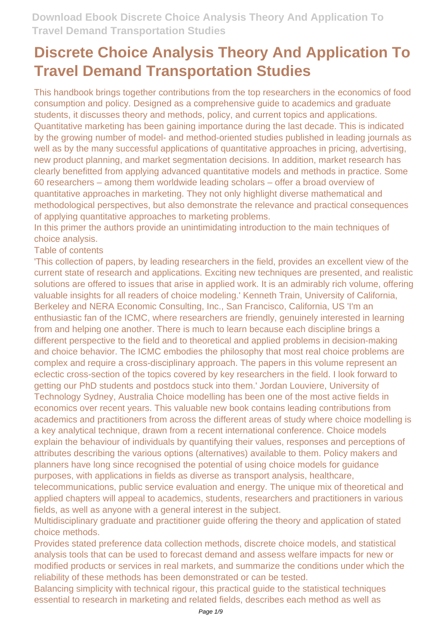This handbook brings together contributions from the top researchers in the economics of food consumption and policy. Designed as a comprehensive guide to academics and graduate students, it discusses theory and methods, policy, and current topics and applications. Quantitative marketing has been gaining importance during the last decade. This is indicated by the growing number of model- and method-oriented studies published in leading journals as well as by the many successful applications of quantitative approaches in pricing, advertising, new product planning, and market segmentation decisions. In addition, market research has clearly benefitted from applying advanced quantitative models and methods in practice. Some 60 researchers – among them worldwide leading scholars – offer a broad overview of quantitative approaches in marketing. They not only highlight diverse mathematical and methodological perspectives, but also demonstrate the relevance and practical consequences of applying quantitative approaches to marketing problems.

In this primer the authors provide an unintimidating introduction to the main techniques of choice analysis.

#### Table of contents

'This collection of papers, by leading researchers in the field, provides an excellent view of the current state of research and applications. Exciting new techniques are presented, and realistic solutions are offered to issues that arise in applied work. It is an admirably rich volume, offering valuable insights for all readers of choice modeling.' Kenneth Train, University of California, Berkeley and NERA Economic Consulting, Inc., San Francisco, California, US 'I'm an enthusiastic fan of the ICMC, where researchers are friendly, genuinely interested in learning from and helping one another. There is much to learn because each discipline brings a different perspective to the field and to theoretical and applied problems in decision-making and choice behavior. The ICMC embodies the philosophy that most real choice problems are complex and require a cross-disciplinary approach. The papers in this volume represent an eclectic cross-section of the topics covered by key researchers in the field. I look forward to getting our PhD students and postdocs stuck into them.' Jordan Louviere, University of Technology Sydney, Australia Choice modelling has been one of the most active fields in economics over recent years. This valuable new book contains leading contributions from academics and practitioners from across the different areas of study where choice modelling is a key analytical technique, drawn from a recent international conference. Choice models explain the behaviour of individuals by quantifying their values, responses and perceptions of attributes describing the various options (alternatives) available to them. Policy makers and planners have long since recognised the potential of using choice models for guidance purposes, with applications in fields as diverse as transport analysis, healthcare,

telecommunications, public service evaluation and energy. The unique mix of theoretical and applied chapters will appeal to academics, students, researchers and practitioners in various fields, as well as anyone with a general interest in the subject.

Multidisciplinary graduate and practitioner guide offering the theory and application of stated choice methods.

Provides stated preference data collection methods, discrete choice models, and statistical analysis tools that can be used to forecast demand and assess welfare impacts for new or modified products or services in real markets, and summarize the conditions under which the reliability of these methods has been demonstrated or can be tested.

Balancing simplicity with technical rigour, this practical guide to the statistical techniques essential to research in marketing and related fields, describes each method as well as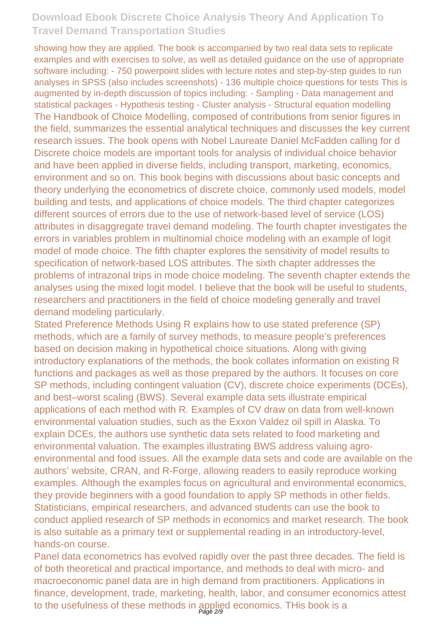showing how they are applied. The book is accompanied by two real data sets to replicate examples and with exercises to solve, as well as detailed guidance on the use of appropriate software including: - 750 powerpoint slides with lecture notes and step-by-step guides to run analyses in SPSS (also includes screenshots) - 136 multiple choice questions for tests This is augmented by in-depth discussion of topics including: - Sampling - Data management and statistical packages - Hypothesis testing - Cluster analysis - Structural equation modelling The Handbook of Choice Modelling, composed of contributions from senior figures in the field, summarizes the essential analytical techniques and discusses the key current research issues. The book opens with Nobel Laureate Daniel McFadden calling for d Discrete choice models are important tools for analysis of individual choice behavior and have been applied in diverse fields, including transport, marketing, economics, environment and so on. This book begins with discussions about basic concepts and theory underlying the econometrics of discrete choice, commonly used models, model building and tests, and applications of choice models. The third chapter categorizes different sources of errors due to the use of network-based level of service (LOS) attributes in disaggregate travel demand modeling. The fourth chapter investigates the errors in variables problem in multinomial choice modeling with an example of logit model of mode choice. The fifth chapter explores the sensitivity of model results to specification of network-based LOS attributes. The sixth chapter addresses the problems of intrazonal trips in mode choice modeling. The seventh chapter extends the analyses using the mixed logit model. I believe that the book will be useful to students, researchers and practitioners in the field of choice modeling generally and travel demand modeling particularly.

Stated Preference Methods Using R explains how to use stated preference (SP) methods, which are a family of survey methods, to measure people's preferences based on decision making in hypothetical choice situations. Along with giving introductory explanations of the methods, the book collates information on existing R functions and packages as well as those prepared by the authors. It focuses on core SP methods, including contingent valuation (CV), discrete choice experiments (DCEs), and best–worst scaling (BWS). Several example data sets illustrate empirical applications of each method with R. Examples of CV draw on data from well-known environmental valuation studies, such as the Exxon Valdez oil spill in Alaska. To explain DCEs, the authors use synthetic data sets related to food marketing and environmental valuation. The examples illustrating BWS address valuing agroenvironmental and food issues. All the example data sets and code are available on the authors' website, CRAN, and R-Forge, allowing readers to easily reproduce working examples. Although the examples focus on agricultural and environmental economics, they provide beginners with a good foundation to apply SP methods in other fields. Statisticians, empirical researchers, and advanced students can use the book to conduct applied research of SP methods in economics and market research. The book is also suitable as a primary text or supplemental reading in an introductory-level, hands-on course.

Panel data econometrics has evolved rapidly over the past three decades. The field is of both theoretical and practical importance, and methods to deal with micro- and macroeconomic panel data are in high demand from practitioners. Applications in finance, development, trade, marketing, health, labor, and consumer economics attest to the usefulness of these methods in applied economics. THis book is a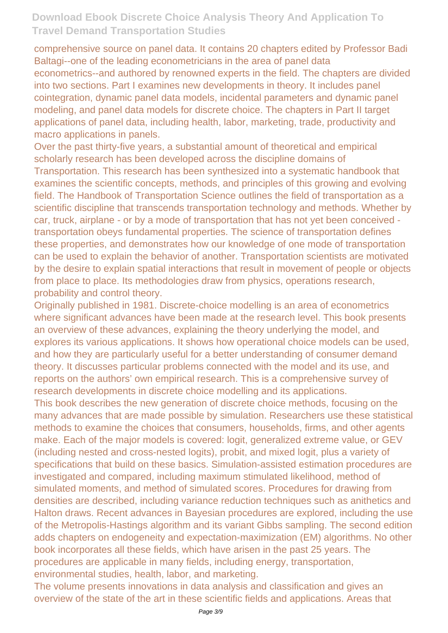comprehensive source on panel data. It contains 20 chapters edited by Professor Badi Baltagi--one of the leading econometricians in the area of panel data econometrics--and authored by renowned experts in the field. The chapters are divided into two sections. Part I examines new developments in theory. It includes panel cointegration, dynamic panel data models, incidental parameters and dynamic panel modeling, and panel data models for discrete choice. The chapters in Part II target applications of panel data, including health, labor, marketing, trade, productivity and macro applications in panels.

Over the past thirty-five years, a substantial amount of theoretical and empirical scholarly research has been developed across the discipline domains of Transportation. This research has been synthesized into a systematic handbook that examines the scientific concepts, methods, and principles of this growing and evolving field. The Handbook of Transportation Science outlines the field of transportation as a scientific discipline that transcends transportation technology and methods. Whether by car, truck, airplane - or by a mode of transportation that has not yet been conceived transportation obeys fundamental properties. The science of transportation defines these properties, and demonstrates how our knowledge of one mode of transportation can be used to explain the behavior of another. Transportation scientists are motivated by the desire to explain spatial interactions that result in movement of people or objects from place to place. Its methodologies draw from physics, operations research, probability and control theory.

Originally published in 1981. Discrete-choice modelling is an area of econometrics where significant advances have been made at the research level. This book presents an overview of these advances, explaining the theory underlying the model, and explores its various applications. It shows how operational choice models can be used, and how they are particularly useful for a better understanding of consumer demand theory. It discusses particular problems connected with the model and its use, and reports on the authors' own empirical research. This is a comprehensive survey of research developments in discrete choice modelling and its applications.

This book describes the new generation of discrete choice methods, focusing on the many advances that are made possible by simulation. Researchers use these statistical methods to examine the choices that consumers, households, firms, and other agents make. Each of the major models is covered: logit, generalized extreme value, or GEV (including nested and cross-nested logits), probit, and mixed logit, plus a variety of specifications that build on these basics. Simulation-assisted estimation procedures are investigated and compared, including maximum stimulated likelihood, method of simulated moments, and method of simulated scores. Procedures for drawing from densities are described, including variance reduction techniques such as anithetics and Halton draws. Recent advances in Bayesian procedures are explored, including the use of the Metropolis-Hastings algorithm and its variant Gibbs sampling. The second edition adds chapters on endogeneity and expectation-maximization (EM) algorithms. No other book incorporates all these fields, which have arisen in the past 25 years. The procedures are applicable in many fields, including energy, transportation, environmental studies, health, labor, and marketing.

The volume presents innovations in data analysis and classification and gives an overview of the state of the art in these scientific fields and applications. Areas that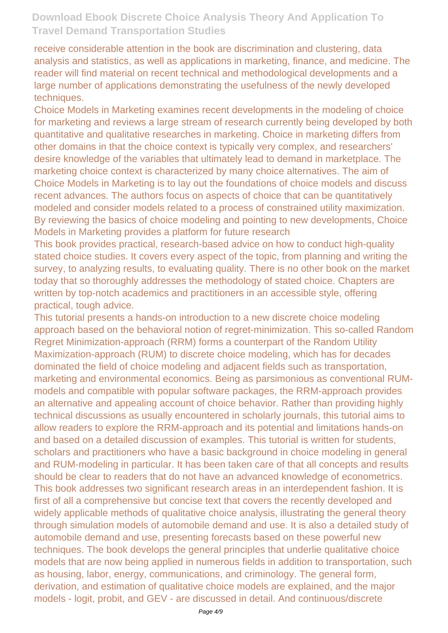receive considerable attention in the book are discrimination and clustering, data analysis and statistics, as well as applications in marketing, finance, and medicine. The reader will find material on recent technical and methodological developments and a large number of applications demonstrating the usefulness of the newly developed techniques.

Choice Models in Marketing examines recent developments in the modeling of choice for marketing and reviews a large stream of research currently being developed by both quantitative and qualitative researches in marketing. Choice in marketing differs from other domains in that the choice context is typically very complex, and researchers' desire knowledge of the variables that ultimately lead to demand in marketplace. The marketing choice context is characterized by many choice alternatives. The aim of Choice Models in Marketing is to lay out the foundations of choice models and discuss recent advances. The authors focus on aspects of choice that can be quantitatively modeled and consider models related to a process of constrained utility maximization. By reviewing the basics of choice modeling and pointing to new developments, Choice Models in Marketing provides a platform for future research

This book provides practical, research-based advice on how to conduct high-quality stated choice studies. It covers every aspect of the topic, from planning and writing the survey, to analyzing results, to evaluating quality. There is no other book on the market today that so thoroughly addresses the methodology of stated choice. Chapters are written by top-notch academics and practitioners in an accessible style, offering practical, tough advice.

This tutorial presents a hands-on introduction to a new discrete choice modeling approach based on the behavioral notion of regret-minimization. This so-called Random Regret Minimization-approach (RRM) forms a counterpart of the Random Utility Maximization-approach (RUM) to discrete choice modeling, which has for decades dominated the field of choice modeling and adjacent fields such as transportation, marketing and environmental economics. Being as parsimonious as conventional RUMmodels and compatible with popular software packages, the RRM-approach provides an alternative and appealing account of choice behavior. Rather than providing highly technical discussions as usually encountered in scholarly journals, this tutorial aims to allow readers to explore the RRM-approach and its potential and limitations hands-on and based on a detailed discussion of examples. This tutorial is written for students, scholars and practitioners who have a basic background in choice modeling in general and RUM-modeling in particular. It has been taken care of that all concepts and results should be clear to readers that do not have an advanced knowledge of econometrics. This book addresses two significant research areas in an interdependent fashion. It is first of all a comprehensive but concise text that covers the recently developed and widely applicable methods of qualitative choice analysis, illustrating the general theory through simulation models of automobile demand and use. It is also a detailed study of automobile demand and use, presenting forecasts based on these powerful new techniques. The book develops the general principles that underlie qualitative choice models that are now being applied in numerous fields in addition to transportation, such as housing, labor, energy, communications, and criminology. The general form, derivation, and estimation of qualitative choice models are explained, and the major models - logit, probit, and GEV - are discussed in detail. And continuous/discrete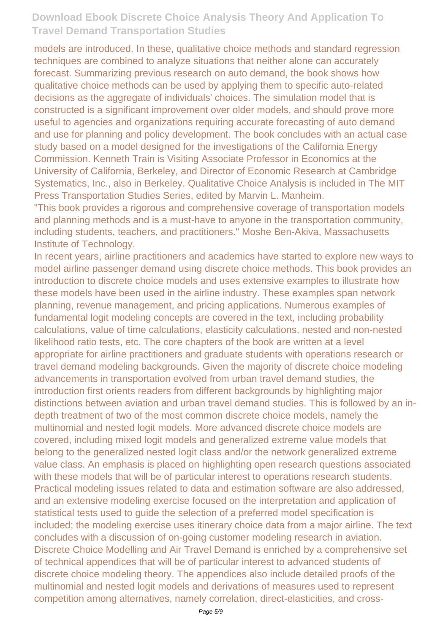models are introduced. In these, qualitative choice methods and standard regression techniques are combined to analyze situations that neither alone can accurately forecast. Summarizing previous research on auto demand, the book shows how qualitative choice methods can be used by applying them to specific auto-related decisions as the aggregate of individuals' choices. The simulation model that is constructed is a significant improvement over older models, and should prove more useful to agencies and organizations requiring accurate forecasting of auto demand and use for planning and policy development. The book concludes with an actual case study based on a model designed for the investigations of the California Energy Commission. Kenneth Train is Visiting Associate Professor in Economics at the University of California, Berkeley, and Director of Economic Research at Cambridge Systematics, Inc., also in Berkeley. Qualitative Choice Analysis is included in The MIT Press Transportation Studies Series, edited by Marvin L. Manheim.

"This book provides a rigorous and comprehensive coverage of transportation models and planning methods and is a must-have to anyone in the transportation community, including students, teachers, and practitioners." Moshe Ben-Akiva, Massachusetts Institute of Technology.

In recent years, airline practitioners and academics have started to explore new ways to model airline passenger demand using discrete choice methods. This book provides an introduction to discrete choice models and uses extensive examples to illustrate how these models have been used in the airline industry. These examples span network planning, revenue management, and pricing applications. Numerous examples of fundamental logit modeling concepts are covered in the text, including probability calculations, value of time calculations, elasticity calculations, nested and non-nested likelihood ratio tests, etc. The core chapters of the book are written at a level appropriate for airline practitioners and graduate students with operations research or travel demand modeling backgrounds. Given the majority of discrete choice modeling advancements in transportation evolved from urban travel demand studies, the introduction first orients readers from different backgrounds by highlighting major distinctions between aviation and urban travel demand studies. This is followed by an indepth treatment of two of the most common discrete choice models, namely the multinomial and nested logit models. More advanced discrete choice models are covered, including mixed logit models and generalized extreme value models that belong to the generalized nested logit class and/or the network generalized extreme value class. An emphasis is placed on highlighting open research questions associated with these models that will be of particular interest to operations research students. Practical modeling issues related to data and estimation software are also addressed, and an extensive modeling exercise focused on the interpretation and application of statistical tests used to guide the selection of a preferred model specification is included; the modeling exercise uses itinerary choice data from a major airline. The text concludes with a discussion of on-going customer modeling research in aviation. Discrete Choice Modelling and Air Travel Demand is enriched by a comprehensive set of technical appendices that will be of particular interest to advanced students of discrete choice modeling theory. The appendices also include detailed proofs of the multinomial and nested logit models and derivations of measures used to represent competition among alternatives, namely correlation, direct-elasticities, and cross-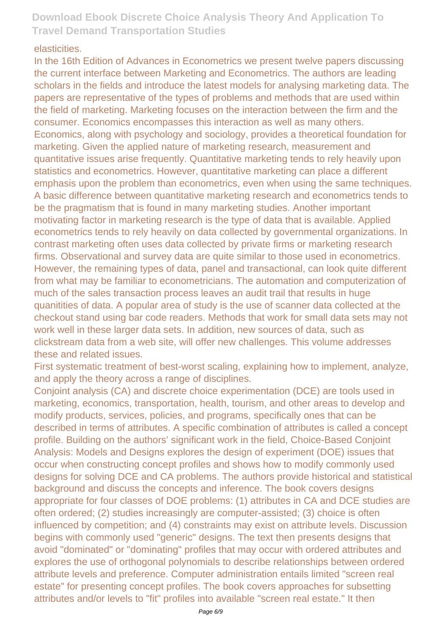#### elasticities.

In the 16th Edition of Advances in Econometrics we present twelve papers discussing the current interface between Marketing and Econometrics. The authors are leading scholars in the fields and introduce the latest models for analysing marketing data. The papers are representative of the types of problems and methods that are used within the field of marketing. Marketing focuses on the interaction between the firm and the consumer. Economics encompasses this interaction as well as many others. Economics, along with psychology and sociology, provides a theoretical foundation for marketing. Given the applied nature of marketing research, measurement and quantitative issues arise frequently. Quantitative marketing tends to rely heavily upon statistics and econometrics. However, quantitative marketing can place a different emphasis upon the problem than econometrics, even when using the same techniques. A basic difference between quantitative marketing research and econometrics tends to be the pragmatism that is found in many marketing studies. Another important motivating factor in marketing research is the type of data that is available. Applied econometrics tends to rely heavily on data collected by governmental organizations. In contrast marketing often uses data collected by private firms or marketing research firms. Observational and survey data are quite similar to those used in econometrics. However, the remaining types of data, panel and transactional, can look quite different from what may be familiar to econometricians. The automation and computerization of much of the sales transaction process leaves an audit trail that results in huge quanitities of data. A popular area of study is the use of scanner data collected at the checkout stand using bar code readers. Methods that work for small data sets may not work well in these larger data sets. In addition, new sources of data, such as clickstream data from a web site, will offer new challenges. This volume addresses these and related issues.

First systematic treatment of best-worst scaling, explaining how to implement, analyze, and apply the theory across a range of disciplines.

Conjoint analysis (CA) and discrete choice experimentation (DCE) are tools used in marketing, economics, transportation, health, tourism, and other areas to develop and modify products, services, policies, and programs, specifically ones that can be described in terms of attributes. A specific combination of attributes is called a concept profile. Building on the authors' significant work in the field, Choice-Based Conjoint Analysis: Models and Designs explores the design of experiment (DOE) issues that occur when constructing concept profiles and shows how to modify commonly used designs for solving DCE and CA problems. The authors provide historical and statistical background and discuss the concepts and inference. The book covers designs appropriate for four classes of DOE problems: (1) attributes in CA and DCE studies are often ordered; (2) studies increasingly are computer-assisted; (3) choice is often influenced by competition; and (4) constraints may exist on attribute levels. Discussion begins with commonly used "generic" designs. The text then presents designs that avoid "dominated" or "dominating" profiles that may occur with ordered attributes and explores the use of orthogonal polynomials to describe relationships between ordered attribute levels and preference. Computer administration entails limited "screen real estate" for presenting concept profiles. The book covers approaches for subsetting attributes and/or levels to "fit" profiles into available "screen real estate." It then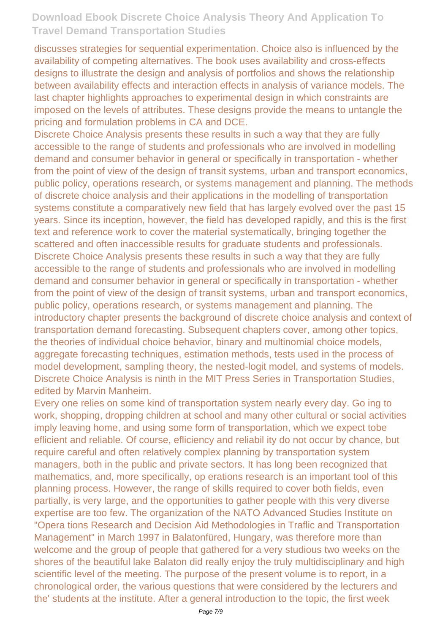discusses strategies for sequential experimentation. Choice also is influenced by the availability of competing alternatives. The book uses availability and cross-effects designs to illustrate the design and analysis of portfolios and shows the relationship between availability effects and interaction effects in analysis of variance models. The last chapter highlights approaches to experimental design in which constraints are imposed on the levels of attributes. These designs provide the means to untangle the pricing and formulation problems in CA and DCE.

Discrete Choice Analysis presents these results in such a way that they are fully accessible to the range of students and professionals who are involved in modelling demand and consumer behavior in general or specifically in transportation - whether from the point of view of the design of transit systems, urban and transport economics, public policy, operations research, or systems management and planning. The methods of discrete choice analysis and their applications in the modelling of transportation systems constitute a comparatively new field that has largely evolved over the past 15 years. Since its inception, however, the field has developed rapidly, and this is the first text and reference work to cover the material systematically, bringing together the scattered and often inaccessible results for graduate students and professionals. Discrete Choice Analysis presents these results in such a way that they are fully accessible to the range of students and professionals who are involved in modelling demand and consumer behavior in general or specifically in transportation - whether from the point of view of the design of transit systems, urban and transport economics, public policy, operations research, or systems management and planning. The introductory chapter presents the background of discrete choice analysis and context of transportation demand forecasting. Subsequent chapters cover, among other topics, the theories of individual choice behavior, binary and multinomial choice models, aggregate forecasting techniques, estimation methods, tests used in the process of model development, sampling theory, the nested-logit model, and systems of models. Discrete Choice Analysis is ninth in the MIT Press Series in Transportation Studies, edited by Marvin Manheim.

Every one relies on some kind of transportation system nearly every day. Go ing to work, shopping, dropping children at school and many other cultural or social activities imply leaving home, and using some form of transportation, which we expect tobe eflicient and reliable. Of course, efliciency and reliabil ity do not occur by chance, but require careful and often relatively complex planning by transportation system managers, both in the public and private sectors. It has long been recognized that mathematics, and, more specifically, op erations research is an important tool of this planning process. However, the range of skills required to cover both fields, even partially, is very large, and the opportunities to gather people with this very diverse expertise are too few. The organization of the NATO Advanced Studies Institute on "Opera tions Research and Decision Aid Methodologies in Traflic and Transportation Management" in March 1997 in Balatonfüred, Hungary, was therefore more than welcome and the group of people that gathered for a very studious two weeks on the shores of the beautiful lake Balaton did really enjoy the truly multidisciplinary and high scientific level of the meeting. The purpose of the present volume is to report, in a chronological order, the various questions that were considered by the lecturers and the' students at the institute. After a general introduction to the topic, the first week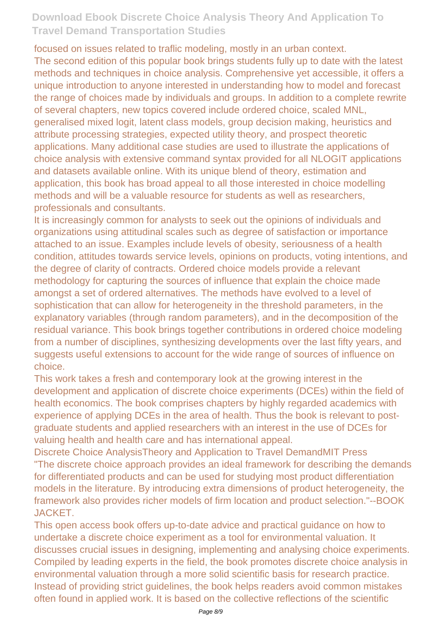focused on issues related to traflic modeling, mostly in an urban context. The second edition of this popular book brings students fully up to date with the latest methods and techniques in choice analysis. Comprehensive yet accessible, it offers a unique introduction to anyone interested in understanding how to model and forecast the range of choices made by individuals and groups. In addition to a complete rewrite of several chapters, new topics covered include ordered choice, scaled MNL, generalised mixed logit, latent class models, group decision making, heuristics and attribute processing strategies, expected utility theory, and prospect theoretic applications. Many additional case studies are used to illustrate the applications of choice analysis with extensive command syntax provided for all NLOGIT applications and datasets available online. With its unique blend of theory, estimation and application, this book has broad appeal to all those interested in choice modelling methods and will be a valuable resource for students as well as researchers, professionals and consultants.

It is increasingly common for analysts to seek out the opinions of individuals and organizations using attitudinal scales such as degree of satisfaction or importance attached to an issue. Examples include levels of obesity, seriousness of a health condition, attitudes towards service levels, opinions on products, voting intentions, and the degree of clarity of contracts. Ordered choice models provide a relevant methodology for capturing the sources of influence that explain the choice made amongst a set of ordered alternatives. The methods have evolved to a level of sophistication that can allow for heterogeneity in the threshold parameters, in the explanatory variables (through random parameters), and in the decomposition of the residual variance. This book brings together contributions in ordered choice modeling from a number of disciplines, synthesizing developments over the last fifty years, and suggests useful extensions to account for the wide range of sources of influence on choice.

This work takes a fresh and contemporary look at the growing interest in the development and application of discrete choice experiments (DCEs) within the field of health economics. The book comprises chapters by highly regarded academics with experience of applying DCEs in the area of health. Thus the book is relevant to postgraduate students and applied researchers with an interest in the use of DCEs for valuing health and health care and has international appeal.

Discrete Choice AnalysisTheory and Application to Travel DemandMIT Press "The discrete choice approach provides an ideal framework for describing the demands for differentiated products and can be used for studying most product differentiation models in the literature. By introducing extra dimensions of product heterogeneity, the framework also provides richer models of firm location and product selection."--BOOK JACKET.

This open access book offers up-to-date advice and practical guidance on how to undertake a discrete choice experiment as a tool for environmental valuation. It discusses crucial issues in designing, implementing and analysing choice experiments. Compiled by leading experts in the field, the book promotes discrete choice analysis in environmental valuation through a more solid scientific basis for research practice. Instead of providing strict guidelines, the book helps readers avoid common mistakes often found in applied work. It is based on the collective reflections of the scientific